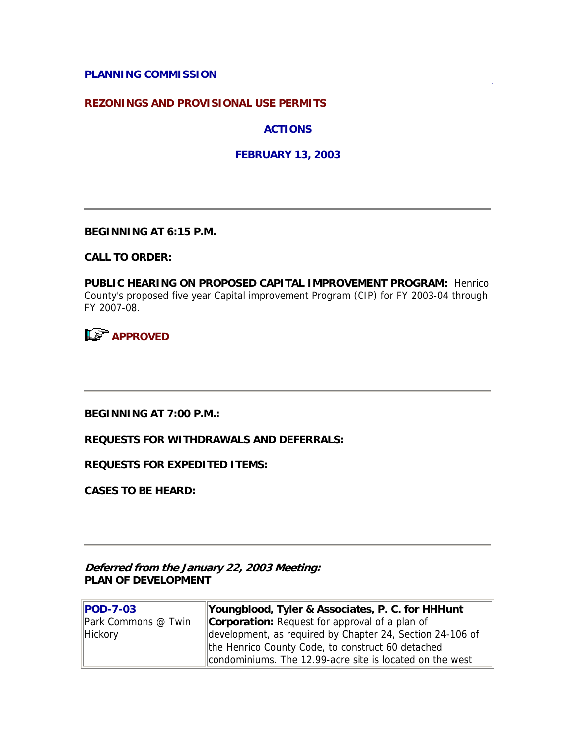### **PLANNING COMMISSION**

### **REZONINGS AND PROVISIONAL USE PERMITS**

**ACTIONS**

**FEBRUARY 13, 2003**

**BEGINNING AT 6:15 P.M.**

**CALL TO ORDER:**

**PUBLIC HEARING ON PROPOSED CAPITAL IMPROVEMENT PROGRAM:** Henrico County's proposed five year Capital improvement Program (CIP) for FY 2003-04 through FY 2007-08.

**APPROVED** 

**BEGINNING AT 7:00 P.M.:** 

**REQUESTS FOR WITHDRAWALS AND DEFERRALS:**

**REQUESTS FOR EXPEDITED ITEMS:**

**CASES TO BE HEARD:**

**Deferred from the January 22, 2003 Meeting: PLAN OF DEVELOPMENT**

| <b>POD-7-03</b>     | Youngblood, Tyler & Associates, P. C. for HHHunt          |
|---------------------|-----------------------------------------------------------|
| Park Commons @ Twin | <b>Corporation:</b> Request for approval of a plan of     |
| Hickory             | development, as required by Chapter 24, Section 24-106 of |
|                     | the Henrico County Code, to construct 60 detached         |
|                     | condominiums. The 12.99-acre site is located on the west  |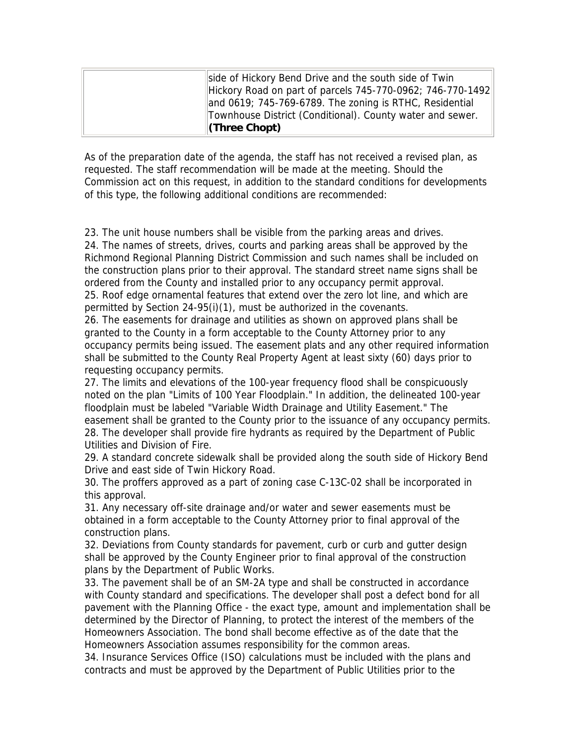| side of Hickory Bend Drive and the south side of Twin      |
|------------------------------------------------------------|
| Hickory Road on part of parcels 745-770-0962; 746-770-1492 |
| and 0619; 745-769-6789. The zoning is RTHC, Residential    |
| Townhouse District (Conditional). County water and sewer.  |
| $\ $ (Three Chopt)                                         |

As of the preparation date of the agenda, the staff has not received a revised plan, as requested. The staff recommendation will be made at the meeting. Should the Commission act on this request, in addition to the standard conditions for developments of this type, the following additional conditions are recommended:

23. The unit house numbers shall be visible from the parking areas and drives.

24. The names of streets, drives, courts and parking areas shall be approved by the Richmond Regional Planning District Commission and such names shall be included on the construction plans prior to their approval. The standard street name signs shall be ordered from the County and installed prior to any occupancy permit approval. 25. Roof edge ornamental features that extend over the zero lot line, and which are permitted by Section 24-95(i)(1), must be authorized in the covenants.

26. The easements for drainage and utilities as shown on approved plans shall be granted to the County in a form acceptable to the County Attorney prior to any occupancy permits being issued. The easement plats and any other required information shall be submitted to the County Real Property Agent at least sixty (60) days prior to requesting occupancy permits.

27. The limits and elevations of the 100-year frequency flood shall be conspicuously noted on the plan "Limits of 100 Year Floodplain." In addition, the delineated 100-year floodplain must be labeled "Variable Width Drainage and Utility Easement." The easement shall be granted to the County prior to the issuance of any occupancy permits. 28. The developer shall provide fire hydrants as required by the Department of Public Utilities and Division of Fire.

29. A standard concrete sidewalk shall be provided along the south side of Hickory Bend Drive and east side of Twin Hickory Road.

30. The proffers approved as a part of zoning case C-13C-02 shall be incorporated in this approval.

31. Any necessary off-site drainage and/or water and sewer easements must be obtained in a form acceptable to the County Attorney prior to final approval of the construction plans.

32. Deviations from County standards for pavement, curb or curb and gutter design shall be approved by the County Engineer prior to final approval of the construction plans by the Department of Public Works.

33. The pavement shall be of an SM-2A type and shall be constructed in accordance with County standard and specifications. The developer shall post a defect bond for all pavement with the Planning Office - the exact type, amount and implementation shall be determined by the Director of Planning, to protect the interest of the members of the Homeowners Association. The bond shall become effective as of the date that the Homeowners Association assumes responsibility for the common areas.

34. Insurance Services Office (ISO) calculations must be included with the plans and contracts and must be approved by the Department of Public Utilities prior to the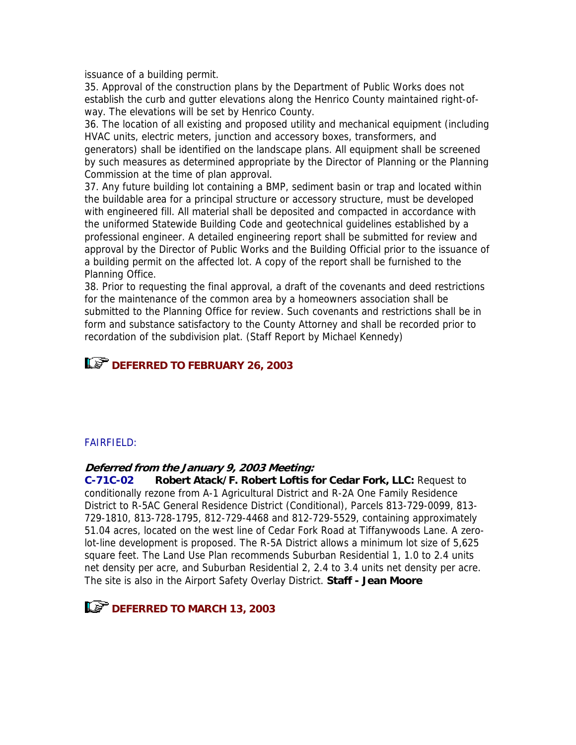issuance of a building permit.

35. Approval of the construction plans by the Department of Public Works does not establish the curb and gutter elevations along the Henrico County maintained right-ofway. The elevations will be set by Henrico County.

36. The location of all existing and proposed utility and mechanical equipment (including HVAC units, electric meters, junction and accessory boxes, transformers, and generators) shall be identified on the landscape plans. All equipment shall be screened by such measures as determined appropriate by the Director of Planning or the Planning Commission at the time of plan approval.

37. Any future building lot containing a BMP, sediment basin or trap and located within the buildable area for a principal structure or accessory structure, must be developed with engineered fill. All material shall be deposited and compacted in accordance with the uniformed Statewide Building Code and geotechnical guidelines established by a professional engineer. A detailed engineering report shall be submitted for review and approval by the Director of Public Works and the Building Official prior to the issuance of a building permit on the affected lot. A copy of the report shall be furnished to the Planning Office.

38. Prior to requesting the final approval, a draft of the covenants and deed restrictions for the maintenance of the common area by a homeowners association shall be submitted to the Planning Office for review. Such covenants and restrictions shall be in form and substance satisfactory to the County Attorney and shall be recorded prior to recordation of the subdivision plat. (Staff Report by Michael Kennedy)

# **LET DEFERRED TO FEBRUARY 26, 2003**

## FAIRFIELD:

### **Deferred from the January 9, 2003 Meeting:**

**C-71C-02 Robert Atack/F. Robert Loftis for Cedar Fork, LLC:** Request to conditionally rezone from A-1 Agricultural District and R-2A One Family Residence District to R-5AC General Residence District (Conditional), Parcels 813-729-0099, 813- 729-1810, 813-728-1795, 812-729-4468 and 812-729-5529, containing approximately 51.04 acres, located on the west line of Cedar Fork Road at Tiffanywoods Lane. A zerolot-line development is proposed. The R-5A District allows a minimum lot size of 5,625 square feet. The Land Use Plan recommends Suburban Residential 1, 1.0 to 2.4 units net density per acre, and Suburban Residential 2, 2.4 to 3.4 units net density per acre. The site is also in the Airport Safety Overlay District. **Staff - Jean Moore**

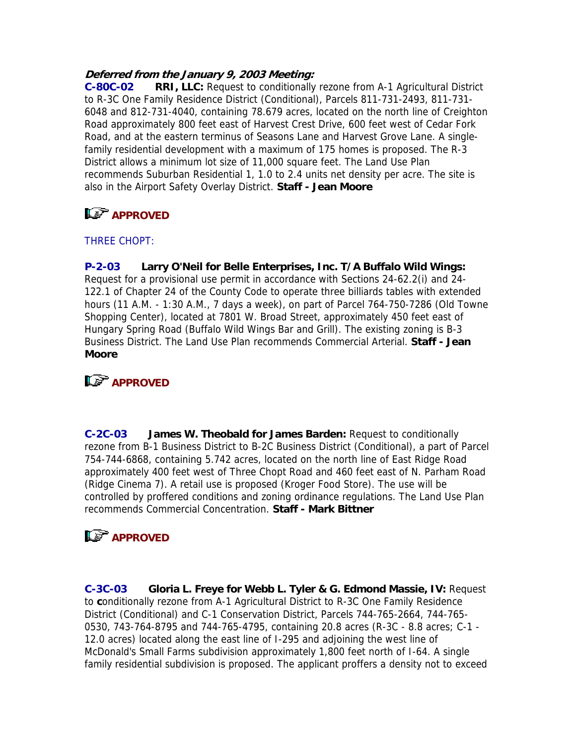### **Deferred from the January 9, 2003 Meeting:**

**C-80C-02 RRI, LLC:** Request to conditionally rezone from A-1 Agricultural District to R-3C One Family Residence District (Conditional), Parcels 811-731-2493, 811-731- 6048 and 812-731-4040, containing 78.679 acres, located on the north line of Creighton Road approximately 800 feet east of Harvest Crest Drive, 600 feet west of Cedar Fork Road, and at the eastern terminus of Seasons Lane and Harvest Grove Lane. A singlefamily residential development with a maximum of 175 homes is proposed. The R-3 District allows a minimum lot size of 11,000 square feet. The Land Use Plan recommends Suburban Residential 1, 1.0 to 2.4 units net density per acre. The site is also in the Airport Safety Overlay District. **Staff - Jean Moore**

# **APPROVED**

## THREE CHOPT:

**P-2-03 Larry O'Neil for Belle Enterprises, Inc. T/A Buffalo Wild Wings:** Request for a provisional use permit in accordance with Sections 24-62.2(i) and 24- 122.1 of Chapter 24 of the County Code to operate three billiards tables with extended hours (11 A.M. - 1:30 A.M., 7 days a week), on part of Parcel 764-750-7286 (Old Towne Shopping Center), located at 7801 W. Broad Street, approximately 450 feet east of Hungary Spring Road (Buffalo Wild Wings Bar and Grill). The existing zoning is B-3 Business District. The Land Use Plan recommends Commercial Arterial. **Staff - Jean Moore**

# **L<sub>S</sub>** APPROVED

**C-2C-03 James W. Theobald for James Barden:** Request to conditionally rezone from B-1 Business District to B-2C Business District (Conditional), a part of Parcel 754-744-6868, containing 5.742 acres, located on the north line of East Ridge Road approximately 400 feet west of Three Chopt Road and 460 feet east of N. Parham Road (Ridge Cinema 7). A retail use is proposed (Kroger Food Store). The use will be controlled by proffered conditions and zoning ordinance regulations. The Land Use Plan recommends Commercial Concentration. **Staff - Mark Bittner**

# **LS** APPROVED

**C-3C-03 Gloria L. Freye for Webb L. Tyler & G. Edmond Massie, IV:** Request to **c**onditionally rezone from A-1 Agricultural District to R-3C One Family Residence District (Conditional) and C-1 Conservation District, Parcels 744-765-2664, 744-765- 0530, 743-764-8795 and 744-765-4795, containing 20.8 acres (R-3C - 8.8 acres; C-1 - 12.0 acres) located along the east line of I-295 and adjoining the west line of McDonald's Small Farms subdivision approximately 1,800 feet north of I-64. A single family residential subdivision is proposed. The applicant proffers a density not to exceed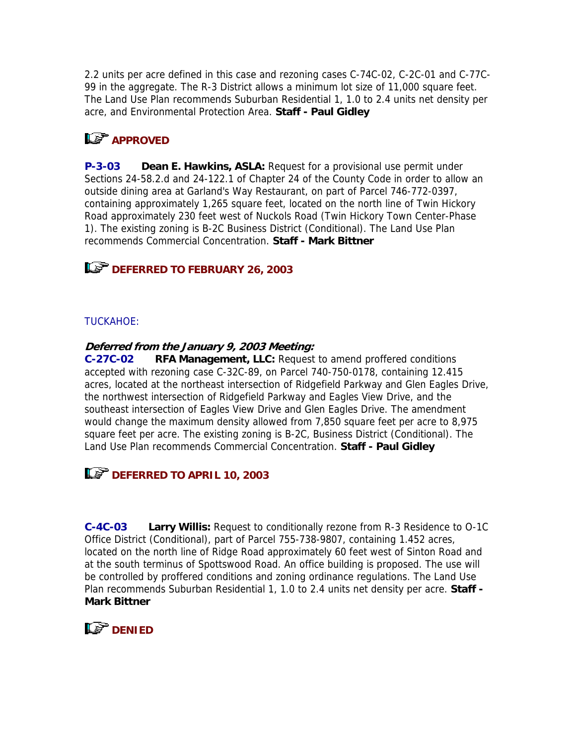2.2 units per acre defined in this case and rezoning cases C-74C-02, C-2C-01 and C-77C-99 in the aggregate. The R-3 District allows a minimum lot size of 11,000 square feet. The Land Use Plan recommends Suburban Residential 1, 1.0 to 2.4 units net density per acre, and Environmental Protection Area. **Staff - Paul Gidley**

# **LS** APPROVED

**P-3-03 Dean E. Hawkins, ASLA:** Request for a provisional use permit under Sections 24-58.2.d and 24-122.1 of Chapter 24 of the County Code in order to allow an outside dining area at Garland's Way Restaurant, on part of Parcel 746-772-0397, containing approximately 1,265 square feet, located on the north line of Twin Hickory Road approximately 230 feet west of Nuckols Road (Twin Hickory Town Center-Phase 1). The existing zoning is B-2C Business District (Conditional). The Land Use Plan recommends Commercial Concentration. **Staff - Mark Bittner**

## **DEFERRED TO FEBRUARY 26, 2003**

### TUCKAHOE:

### **Deferred from the January 9, 2003 Meeting:**

**C-27C-02 RFA Management, LLC:** Request to amend proffered conditions accepted with rezoning case C-32C-89, on Parcel 740-750-0178, containing 12.415 acres, located at the northeast intersection of Ridgefield Parkway and Glen Eagles Drive, the northwest intersection of Ridgefield Parkway and Eagles View Drive, and the southeast intersection of Eagles View Drive and Glen Eagles Drive. The amendment would change the maximum density allowed from 7,850 square feet per acre to 8,975 square feet per acre. The existing zoning is B-2C, Business District (Conditional). The Land Use Plan recommends Commercial Concentration. **Staff - Paul Gidley**



**C-4C-03 Larry Willis:** Request to conditionally rezone from R-3 Residence to O-1C Office District (Conditional), part of Parcel 755-738-9807, containing 1.452 acres, located on the north line of Ridge Road approximately 60 feet west of Sinton Road and at the south terminus of Spottswood Road. An office building is proposed. The use will be controlled by proffered conditions and zoning ordinance regulations. The Land Use Plan recommends Suburban Residential 1, 1.0 to 2.4 units net density per acre. **Staff - Mark Bittner**